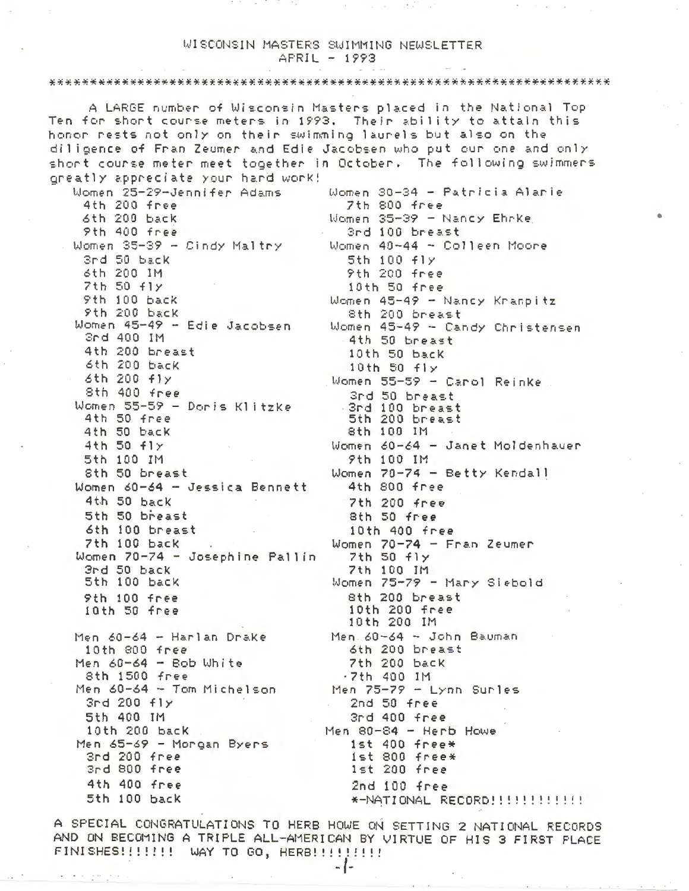# WISCONSIN MASTERS SWIMMING NEWSLETTER AFRIL - 1993

# 

A LARGE number of Wisconsin Masters placed in the National Top Ten for short course meters in 1993. Their ability to attain this honor rests not only on their swimming laurels but also on the diligence of Fran Zeumer and Edie Jacobsen who put our one and only short course meter meet together in October. The following swimmers greatly appreciate your hard work!

 $4th$   $200$  free  $5th$   $200$   $back$ ·?th 400 *fr·ee*  Women 35-39 - Cindy Maltry 3rd 50 back 6th 200 IM 7th 50 fly 9th 100 back 9th 200 back Women 45-49 - Edie Jacobsen 3r·d 400 IM 4th 200 breast 6th 200 back  $5th$  200 fly 8th 400 free Women 55-59 - Doris Kl i tzke 4th 50 free 4th 50 ba.cK  $4th$  50  $fly$ 5th 100 IM 8th 50 breast Women 60-64 - Jessica Bennett 4th 50 back 5th 50 br east 6th 100 breast 7th 100 back Women 70-74 - Josephine Pallin 3rd 50 bacK 5th 100 back 9th 100 free 10th 50 free Men 60-64 - Harlan Drake 10th 800 free Men  $60-64$  - Bob White 8th 1500 free Men 60-64 - Tom Michelson  $3rd200fly$ 5th 400 IM

10th 200 bacK Men 65-69 - Morgan Byers 3rd 200 free 3rd 800 free 4th 400 free 5th 100 back

Women 25-29-Jennifer Adams Women 30-34 - Patricia Alarie 7th 800 free Women 35-39 - Nancy Ehrke 3rd 100 breast Women 40-44 - Colleen Moore 5th 100 fly 9th 200 free 10th 50 free Women 45-49 - Nancy Kranpitz 8th 200 breast Women 45-49 - Candy Christensen 4th 50 breast 10th 50 back  $10th$  50  $fly$ klomen 55-59 - Carol Reinke 3rd 50 breast<br>Srd 100 breast -5th 200 breast 8th 100 IM Women 60-64 - Janet Moldenhauer 9th 100 IM Women 70-74 - Betty Kendall 4th 800 free 7th 200 free 8th **50** free 10th 400 free Women 70-74 - Fran Zeumer 7th 50 fly 7th 100 IM Women 75-79 - Mary Siebold 8th 200 breast 10th 200 free 10th 200 IM Men 60-64 - John Bauman 6th 200 breast 7th 200 back · 7th 400 IM Men 75-79 - Lynn Surles 2nd 50 free 3rd 400 free Men 80-84 - Herb Howe 1st 400 free\* 1st 800 free\* 1st 200 free 2nd 100 free •-NATIONAL RECORD!!!!!!!!!!!!

•

A SPECIAL CONGRATULATIONS TO HERB HOWE ON SETTING 2 NATIONAL RECORDS AND ON BECOMING A TRIPLE ALL-AMERICAN BY VIRTUE OF HIS 3 FIRST PLACE FINISHES!!!!!!!! WAY TO GO, HERB!!!!!!!!!!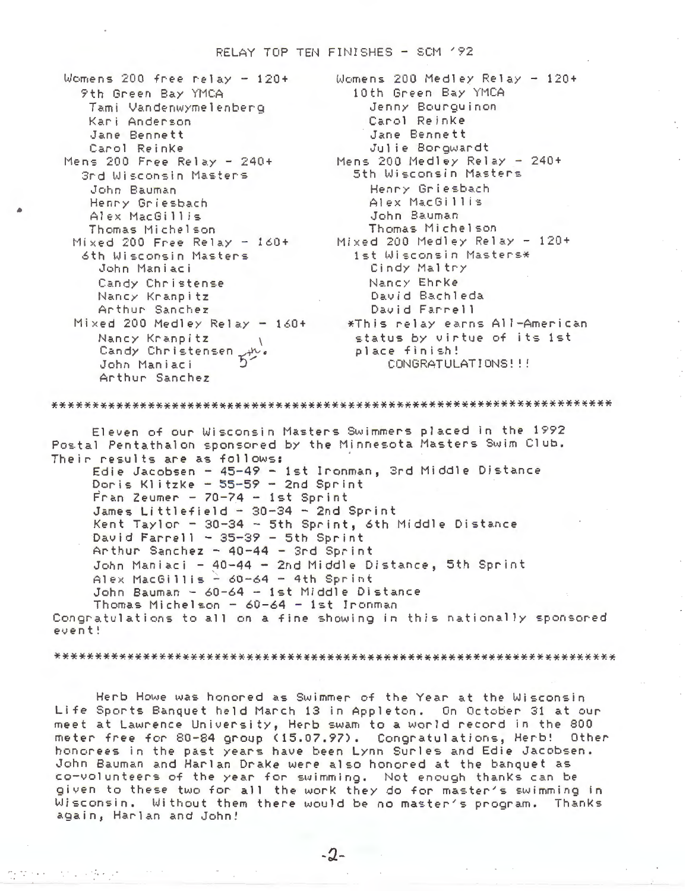# RELAY TOP TEN FINISHES - SCM '92

Womens  $200$  free relay  $-120+$ 9th Green Bay YMCA Tami Vandenwymelenberg Kari Anderson Jane Bennett Carol Reinke Mens 200 Free Relay -  $240+$ 3rd Wisconsin Masters John Bauman Henry Griesbach Alex MacGillis Thomas Michelson Mixed 200 Free Relay -  $160+$ 6th Wisconsin Masters John Maniaci Candy Christense Nancy Kranpitz Arthur Sanchez Mixed 200 Medley Relay -  $160+$ Nancy Kranpitz Candy Christensen w. John Maniaci Arthur Sanchez

ひつつ ディー・カウェー いなんしか

Womens 200 Medley Relay - 120+ 10th Green Bay YMCA Jenny Bourguinon Carol Reinke Jane Bennett Julie Borgwardt Mens 200 Medley Relay -  $240+$ 5th Wisconsin Masters Henry Griesbach Alex MacGillis John Bauman Thomas Michelson Mixed 200 Medley Relay - 120+ 1st Wisconsin Masters\* Cindy Maltry Nancy Ehrke David Bachleda David Farrell \*This relay earns All-American status by virtue of its 1st place finish! CONGRATULATIONS!!!

Eleven of our Wisconsin Masters Swimmers placed in the 1992 Postal Pentathalon sponsored by the Minnesota Masters Swim Club. Their results are as follows:

Edie Jacobsen - 45-49 - 1st Ironman, 3rd Middle Distance Doris Klitzke - 55-59 - 2nd Sprint Fran Zeumer -  $70-74 - 1st$  Sprint James Littlefield - 30-34 - 2nd Sprint Kent Taylor - 30-34 - 5th Sprint, 6th Middle Distance David Farrell - 35-39 - 5th Sprint Arthur Sanchez - 40-44 - 3rd Sprint John Maniaci - 40-44 - 2nd Middle Distance, 5th Sprint Alex MacGillis -  $60-64$  - 4th Sprint John Bauman - 60-64 - 1st Middle Distance Thomas Michelson - 60-64 - 1st Ironman

Congratulations to all on a fine showing in this nationally sponsored event!

Herb Howe was honored as Swimmer of the Year at the Wisconsin Life Sports Banquet held March 13 in Appleton. On October 31 at our meet at Lawrence University, Herb swam to a world record in the 800 meter free for 80-84 group (15.07.97). Congratulations, Herb! Other honorees in the past years have been Lynn Surles and Edie Jacobsen. John Bauman and Harlan Drake were also honored at the banquet as co-volunteers of the year for swimming. Not enough thanks can be given to these two for all the work they do for master's swimming in Wisconsin. Without them there would be no master's program. Thanks again, Harlan and John!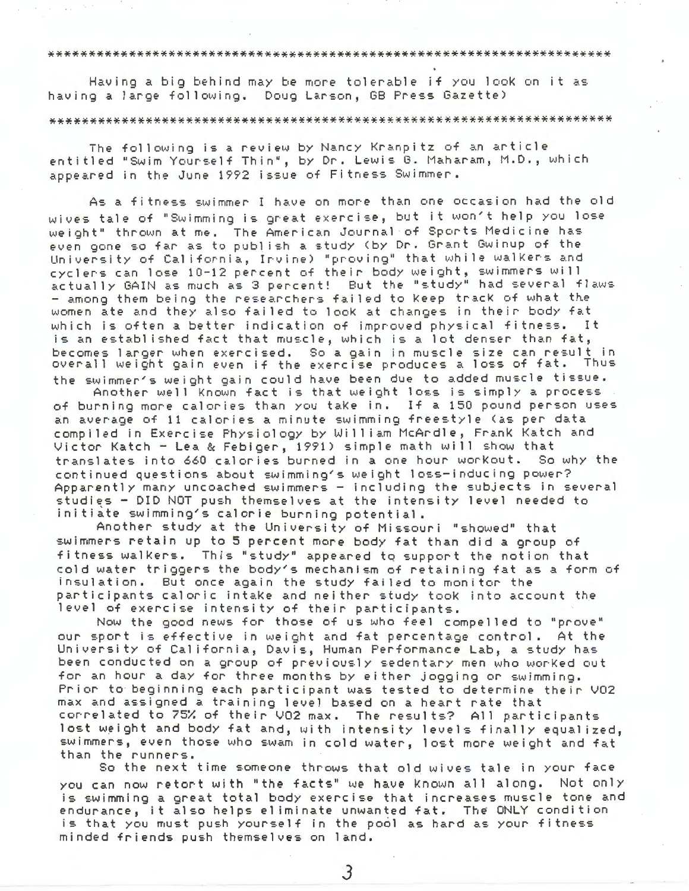Having a big behind may be more tolerable if you look on it as having a large following. Doug Larson, GB Press Gazette)

# 

The following is a review by Nancy Kranpitz of an article entitled "Swim Yourself Thin", by Dr. Lewis G. Maharam, M.D., which appeared in the June 1992 issue of Fitness Swimmer.

As a fitness swimmer I have on more than one occasion had the old wives tale of "Swimming is great exercise, but it won't help you lose weight" thrown at me. The American Journal of Sports Medicine has even gone so far as to publish a study (by Dr. Grant Gwinup of the University of California, Irvine) "proving" that while walkers and cyclers can lose 10-12 percent of their body weight, swimmers will actually GAIN as much as 3 percent! But the "study" had several flaws - among them being the researchers failed to keep track of what the women ate and they also failed to look at changes in their body fat which is often a better indication of improved physical fitness. It is an established fact that muscle, which is a lot denser than fat, becomes larger when exercised. So a gain in muscle size can result in overall weight gain even if the exercise produces a loss of fat. Thus the swimmer's weight gain could have been due to added muscle tissue.

Another well known fact is that weight loss is simply a process of burning more calories than you take in. If a 150 pound person uses an average of 11 calories a minute swimming freestyle (as per data compiled in Exercise Physiology by William McArdle, Frank Katch and Victor Katch - Lea & Febiger, 1991) simple math will show that translates into 660 calories burned in a one hour workout. So why the continued questions about swimming's weight loss-inducing power? Apparently many uncoached swimmers - including the subjects in several studies - DID NOT push themselves at the intensity level needed to initiate swimming's calorie burning potential.

Another study at the University of Missouri "showed" that swimmers retain up to 5 percent more body fat than did a group of fitness walkers. This "study" appeared to support the notion that cold water triggers the body's mechanism of retaining fat as a form of insulation. But once again the study failed to monitor the participants caloric intake and neither study took into account the level of exercise intensity of their participants.

Now the good news for those of us who feel compelled to "prove" our sport is effective in weight and fat percentage control. At the University of California, Davis, Human Performance Lab, a study has been conducted on a group of previously sedentary men who worked out for an hour a day for three months by either jogging or swimming. Prior to beginning each participant was tested to determine their V02 max and assigned a training level based on a heart rate that correlated to 75% of their VO2 max. The results? All participants lost weight and body fat and, with intensity levels finally equalized, swimmers, even those who swam in cold water, lost more weight and fat than the runners.

So the next time someone throws that old wives tale in your face you can now retort with "the facts" we have known all along. Not only is swimming a great total body exercise that increases muscle tone and endurance, it also helps eliminate unwanted fat. The ONLY condition is that you must push yourself in the pool as hard as your fitness minded friends push themselves on land.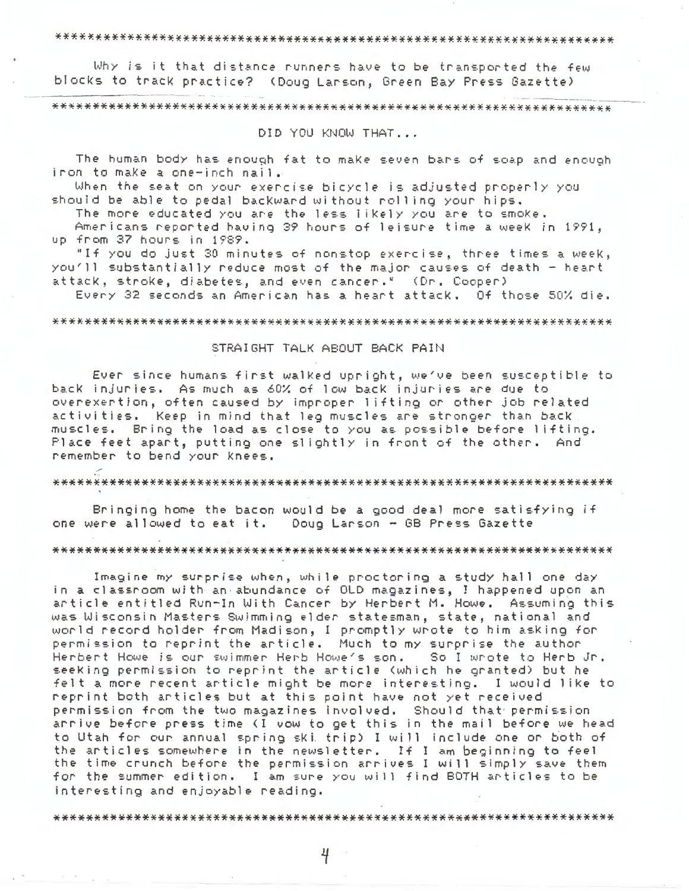Why is it that distance runners have to be transported the few blocks to track practice? (Doug Larson, Green Bay Press Gazette)

# DID YOU KNOW THAT ...

The human body has enough fat to make seven bars of soap and enough iron to make a one-inch nail.

When the seat on your exercise bicycle is adjusted properly you should be able to pedal backward without rolling your hips.

The more educated you are the less likely you are to smoke.

Americans reported having 39 hours of leisure time a week in 1991, up from 37 hours in 1989.

"If you do just 30 minutes of nonstop e xercise, three times a week, you'll substantially reduce most of the major causes of death - heart attack, stroke, diabetes, and even cancer." (Dr. Cooper)

Every 32 seconds an American has a heart attack. Of those 50% die.

#### 

# STRAIGHT TALK ABOUT BACK PAIN

Ever since humans f irst wal ked upright, we've been susceptible to back injuries. As much as 60% of low back injuries are due to cverexertion, often caused by improper lifting or other job related activities. Keep in mind that leg muscles are stronger than back muscles. Bring the load as close to you as possible before lifting. Place feet apart, putting one slightly in front of the other. And remember to bend your Knees.

#### 

Bringing home the bacon would be a good deal more satisfying if one were allowed to eat it. Doug Larson - GB Press Gazette

#### 

Imagine my surprise when, while proctoring a study hall one day in a classroom with an - abundance of OLD magazines, I happened upon an article entitled Run-In With Cancer by Herbert M. Howe. Assuming this was Wisconsin Masters Swimming elder statesman, state, national and world record holder from Madison, I promptly wrote to him asking for permission to reprint the article. Much to my surprise the author Herbert Howe is our swimmer Herb Howe's son. So I wrote to Herb Jr. seeking permission to reprint the article (which he granted) but he felt a more recent article might be more interesting. I would like to reprint both articles but at this point have not yet received permission from the two magazines involved. Should that permission arrive before press time <I vow to get this in the mail before we head to Utah for our annual spring ski. trip) I will include one or both of the articles somewhere in the newsletter. If I am beginning to feel the time crunch before the permission arrives I wi 11 simply save them for the summer edition. I am sure you will find BOTH articles to be interesting and enjoyable reading.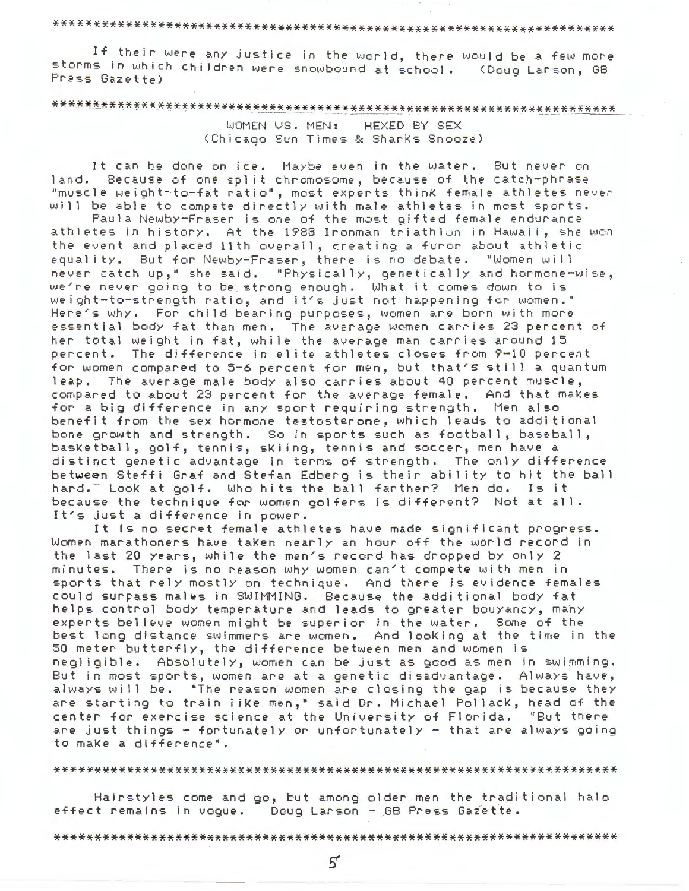If their were any justice in the world, there would be a few more storms in which children were snowbound at school. (Doug Larson, GB Press Gazette)

# 

HEXED BY SEX WOMEN VS. MEN: (Chicago Sun Times & Sharks Snooze)

It can be done on ice. Maybe even in the water. But never on land. Because of one split chromosome, because of the catch-phrase "muscle weight-to-fat ratio", most experts think female athletes never will be able to compete directly with male athletes in most sports.

Paula Newby-Fraser is one of the most gifted female endurance athletes in history. At the 1988 Ironman triathlon in Hawaii, she won the event and placed 11th overall, creating a furor about athletic equality. But for Newby-Fraser, there is no debate. "Women will never catch up," she said. "Physically, genetically and hormone-wise, we're never going to be strong enough. What it comes down to is weight-to-strength ratio, and it's just not happening for women." Here's why. For child bearing purposes, women are born with more essential body fat than men. The average women carries 23 percent of her total weight in fat, while the average man carries around 15 percent. The difference in elite athletes closes from 9-10 percent for women compared to 5-6 percent for men, but that's still a quantum leap. The average male body also carries about 40 percent muscle, compared to about 23 percent for the average female. And that makes for a big difference in any sport requiring strength. Men also benefit from the sex hormone testosterone, which leads to additional bone growth and strength. So in sports such as football, baseball, basketball, golf, tennis, skiing, tennis and soccer, men have a distinct genetic advantage in terms of strength. The only difference between Steffi Graf and Stefan Edberg is their ability to hit the ball hard." Look at golf. Who hits the ball farther? Men do. Is it because the technique for women golfers is different? Not at all. It's just a difference in power.

It is no secret female athletes have made significant progress. Women marathoners have taken nearly an hour off the world record in the last 20 years, while the men's record has dropped by only 2 minutes. There is no reason why women can't compete with men in sports that rely mostly on technique. And there is evidence females could surpass males in SWIMMING. Because the additional body fat helps control body temperature and leads to greater bouyancy, many experts believe women might be superior in the water. Some of the best long distance swimmers are women. And looking at the time in the 50 meter butterfly, the difference between men and women is negligible. Absolutely, women can be just as good as men in swimming. But in most sports, women are at a genetic disadvantage. Always have, always will be. "The reason women are closing the gap is because they are starting to train like men," said Dr. Michael Pollack, head of the center for exercise science at the University of Florida. "But there are just things - fortunately or unfortunately - that are always going to make a difference".

#### 

Hairstyles come and go, but among older men the traditional halo effect remains in voque. Doug Larson - GB Press Gazette.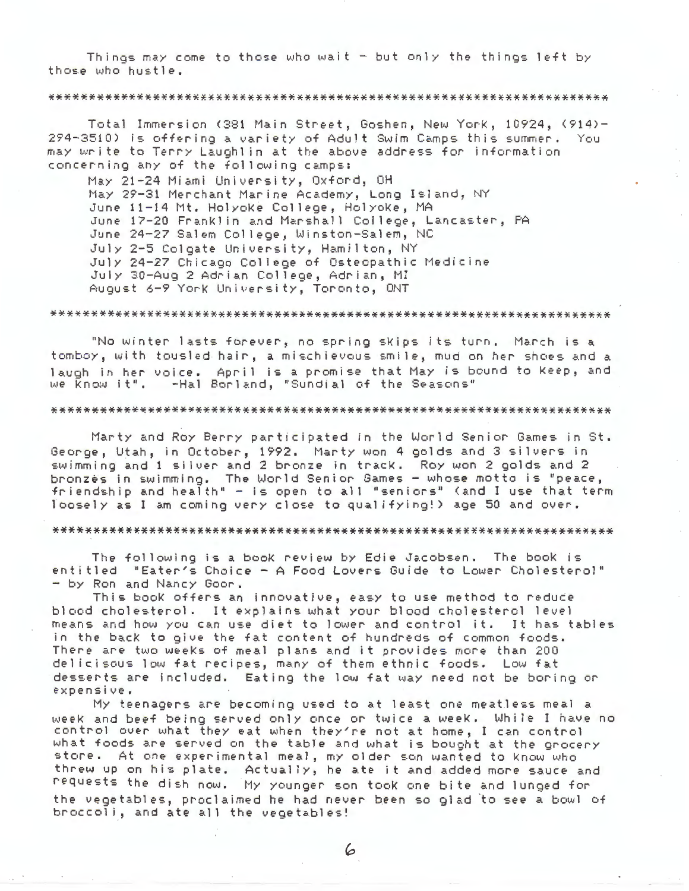Things may come to those who wait  $-$  but only the things left by those who hustle.

#### 

Total Immersion (381 Main Street, Goshen, New York, 10924, (914)-294-3510) is offering a variety of Adult Swim Camps this summer. You may write to Terry Laughlin at the above address for information concerning any of the fol lowing camps:

May 21-24 Miami University, Oxford, OH May 29-31 Merchant Marine Academy, Long Island, NY June **11-14** Mt. Holyoke College, Holyoke, MA June 17-20 Frankl in and Marshall College, Lancaster, PA June 24-27 Salem College, Winston-Salem, NC July 2-5 Colgate University, Hamilton, NY July 24-27 Chicago College of Osteopathic Medicine July 30-Aug 2 Adrian College, Adrian, MI August 6-9 York University, Toronto, ONT

#### 

"No winter lasts forever, no spring skips its turn. March is a tomboy, with tousled hair, a mischievous smile, mud on her shoes and a laugh in her voice. April is a promise that May is bound to Keep, and we Know it". — Hal Borland, "Sundial of the Seasons"

# 

Marty and Roy Berry participated in the World Senior Games in St. George, Utah, in October, 1992. Marty won 4 golds and 3 silvers in swimming and 1 silver and 2 bronze in track. Roy won 2 golds and 2 bronzes in swimming. The World Senior Games - whose motto is "peace, friendship and hea $\tilde{i}$  th" - is open to all "seniors" (and I use that term loosely as I am coming very close to qualifying!) age 50 and over.

#### 

The following is a book review by Edie Jacobsen. The book is entitled "Eater's Choice - A Food Lovers Guide to Lower Cholesterol" - by Ron and Nancy Goor.

This book offers an innovative, easy to use method to redute blood cholesterol. It explains what your blood cholesterol level means and how you can use diet to lower and control it. It has tables in the back to give the fat content of hundreds of common foods. There are two weeks of meal plans and it provides more than 200 delicisous low fat recipes, many of them ethnic foods. Low fat desserts are included. Eating the low fat way need not be boring or e x pensive.

My teenagers are becoming used to at least one meatless meal a week and beef being served only once or twice a week. While I have no eek and been being served only once of twice a week! while I have what foods are served on the table and what is bouoht at the qrocery store. At one experimental meal, my older son wanted to know who threw up on his plate. Actually, he ate it and added more sauce and requests the dish now, My younger son took one bite and lunged for the vegetables, proclaimed he had never been so glad to see a bowl of broccoli, and ate all the vegetables!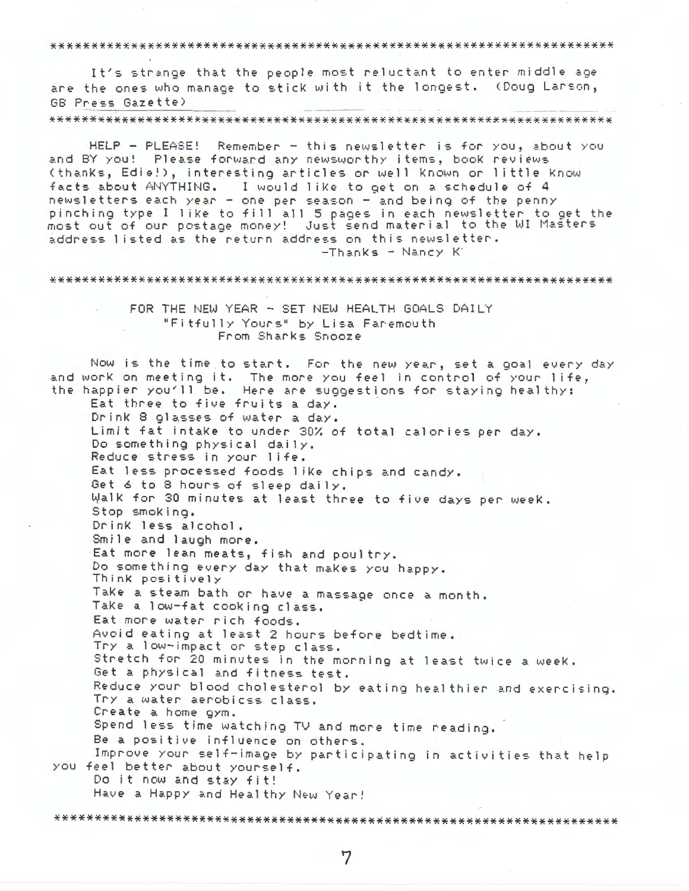It's strange that the people most reluctant to enter middle age are the ones who manage to stick with it the longest. ( Doug Larson, GB Press Gazette)

#### 

HELP - PLEASE! Remember - this ne wsletter is for you, about you and BY you! Please forward any newsworthy items, book reviews (thanks, Edie!), interesting articles or well known or little know facts about ANYTHING. I would like to get on a schedule of 4 newsletters each year - one per season - and being of the penny pinching type I like to fill all 5 pages in each newsletter to get the most out of our postage money! Just send material to the WI Masters address 1 isted as the return address on this newsletter.  $-$ Thanks  $-$  Nancy K.

# 

FOR THE NEW YEAR - SET NEW HEALTH GOALS DAILY "Fitfully Yours" by Lisa Faremouth From Sharks Snooze

Now is the time to start. For the new year, set a goal every day and work on meeting it. The more you feel in control of your life, the happier you'll be, Here are suggestions for staying healthy: Eat three to five fruits a day. Drink 8 glasses of water a day. Limit fat intake to under 30% of total calories per day. Do something physical dai Jy. Reduce stress in your life. Eat less processed foods like chips and candy. Get 6 to 8 hours of sleep daily. Walk for 30 minutes at least three to fioe days per week, Stop smoking, Drink less alcohol. Smile and laugh more. Eat more lean meats, fish and poultry. Do something every day that makes you happy. ThinK positively Take a steam bath or have a massaQe once a month. Take a low-fat cooking class. Eat more water rich foods, Avoid eating at least 2 hours before bedtime. Try a low-impact or step class. Stretch for 20 minutes in the morninq at least twice a week. Get a physical and fitness test. Reduce your blood cholesterol by eating healthier and exercising. Try a water aerobicss class. Create a home gym. Spend less time watching TV and more time reading. Be a positive influence on others. Improve your self-image by participating in activities that help you feel better about yourself. Do it now and stay fit! Have a Happy and Heal thy New Year!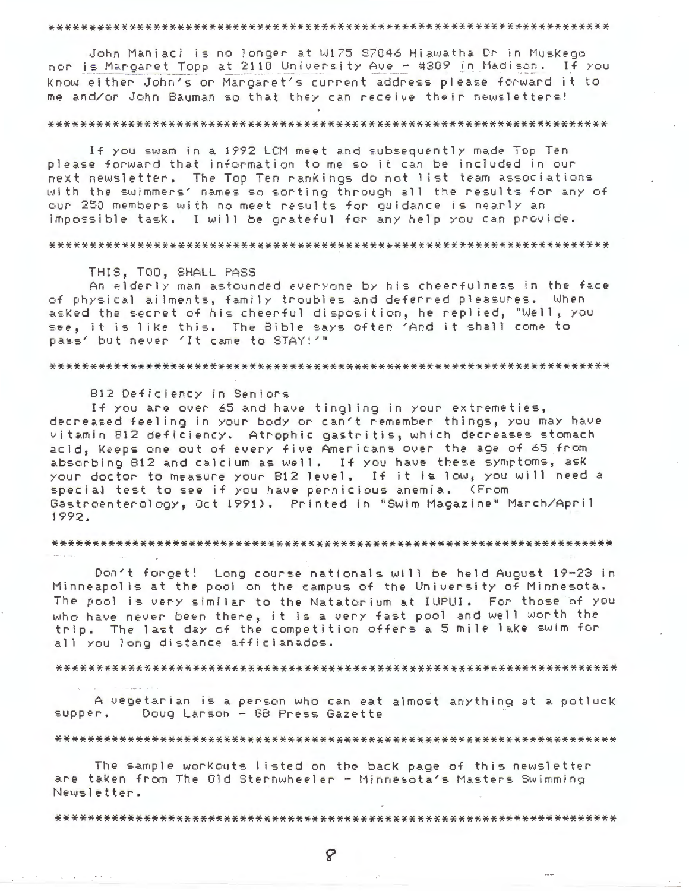John Maniaci is no longer at W175 S7046 Hiawatha Dr in Muskego nor is Margaret Topp at 2110 University Ave - #309 in Madison. If you know either John's or Margaret's current address please forward it to me and/or John Bauman so that they can receive their newsletters!

#### 

If you swam in a 1992 LCM meet and subsequently made Top Tenplease forward that information to me so it can be included in our next newsletter. The Top Ten rankings do not list team associations with the swimmers' names so sorting through all the results for any of our 250 members with no meet results for guidance is nearly an impossible task. I will be grateful for any help you can provide.

#### 

THIS, TOO, SHALL PASS

An elderly man astounded everyone by his cheerfulness in the face of physical ailments, family troubles and deferred pleasures. When asked the secret of his cheerful disposition, he replied, "Well, you see, it is like this. The Bible says often 'And it shall come to pass' but never 'It came to STAY!'"

### 

# B12 Deficiency in Seniors

If you are over 65 and have tingling in your extremeties, decreased feeling in your body or can't remember things, you may have vitamin B12 deficiency. Atrophic gastritis, which decreases stomach acid, Keeps one out of every five Americans over the age of 65 from absorbing B12 and calcium as well. If you have these symptoms, ask your doctor to measure your B12 level. If it is low, you will need a special test to see if you have pernicious anemia. (From Gastroenterology, Oct 1991). Printed in "Swim Magazine" March/April 1992.

#### 

Don't forget! Long course nationals will be held August 19-23 in Minneapolis at the pool on the campus of the University of Minnesota. The pool is very similar to the Natatorium at IUPUI. For those of you who have never been there, it is a very fast pool and well worth the trip. The last day of the competition offers a 5-mile lake swim for all you long distance afficianados.

### 

A vegetarian is a person who can eat almost anything at a potluck Doug Larson - GB Press Gazette supper.

# 

The sample workouts listed on the back page of this newsletter are taken from The Old Sternwheeler - Minnesota's Masters Swimming Newsletter.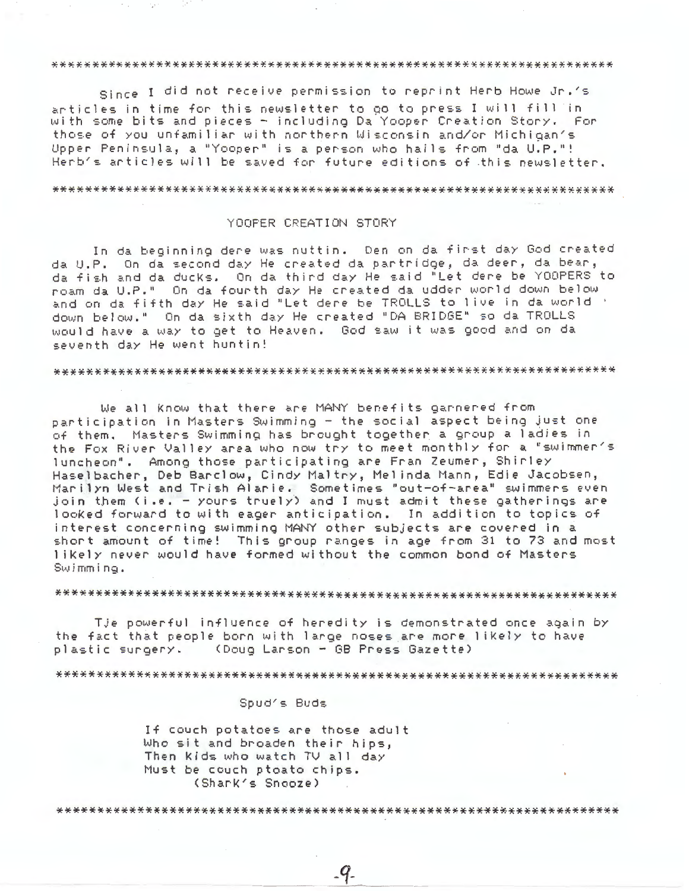Since I did not receive permission to reprint Herb Howe Jr.'s articles in time for this newsletter to go to press I will fill in with some bits and pieces - including Da Yooper Creation Story. For those of you unfamiliar with northern Wisconsin and/or Michigan's Upper Peninsula, a "Yooper" is a person who hails from "da U.P."! Herb's articles will be saved for future editions of this newsletter.

#### 

# YOOPER CREATION STORY

In da beginning dere was nuttin. Den on da first day God created da U.P. On da second day He created da partridge, da deer, da bear, da fish and da ducks. On da third day He said "Let dere be YOOPERS to roam da U.P." On da fourth day He created da udder world down below and on da fifth day He said "Let dere be TROLLS to live in da world . down below." On da sixth day He created "DA BRIDGE" so da TROLLS would have a way to get to Heaven. God saw it was good and on da seventh day He went huntin!

# 

We all know that there are MANY benefits garnered from participation in Masters Swimming - the social aspect being just one of them. Masters Swimming has brought together a group a ladies in the Fox River Valley area who now try to meet monthly for a "swimmer's luncheon". Among those participating are Fran Zeumer, Shirley Haselbacher, Deb Barclow, Cindy Maltry, Melinda Mann, Edie Jacobsen, Marilyn West and Trish Alarie. Sometimes "out-of-area" swimmers even<br>join them (i.e. - yours truely) and I must admit these gatherings are looked forward to with eager anticipation. In addition to topics of interest concerning swimming MANY other subjects are covered in a short amount of time! This group ranges in age from 31 to 73 and most likely never would have formed without the common bond of Masters Swimming.

# 

Tje powerful influence of heredity is demonstrated once again by the fact that people born with large noses are more likely to have plastic surgery. (Doug Larson - GB Press Gazette)

#### Spud's Buds

If couch potatoes are those adult Who sit and broaden their hips, Then Kids who watch TV all day Must be couch ptoato chips. (Shark's Snooze)

9.